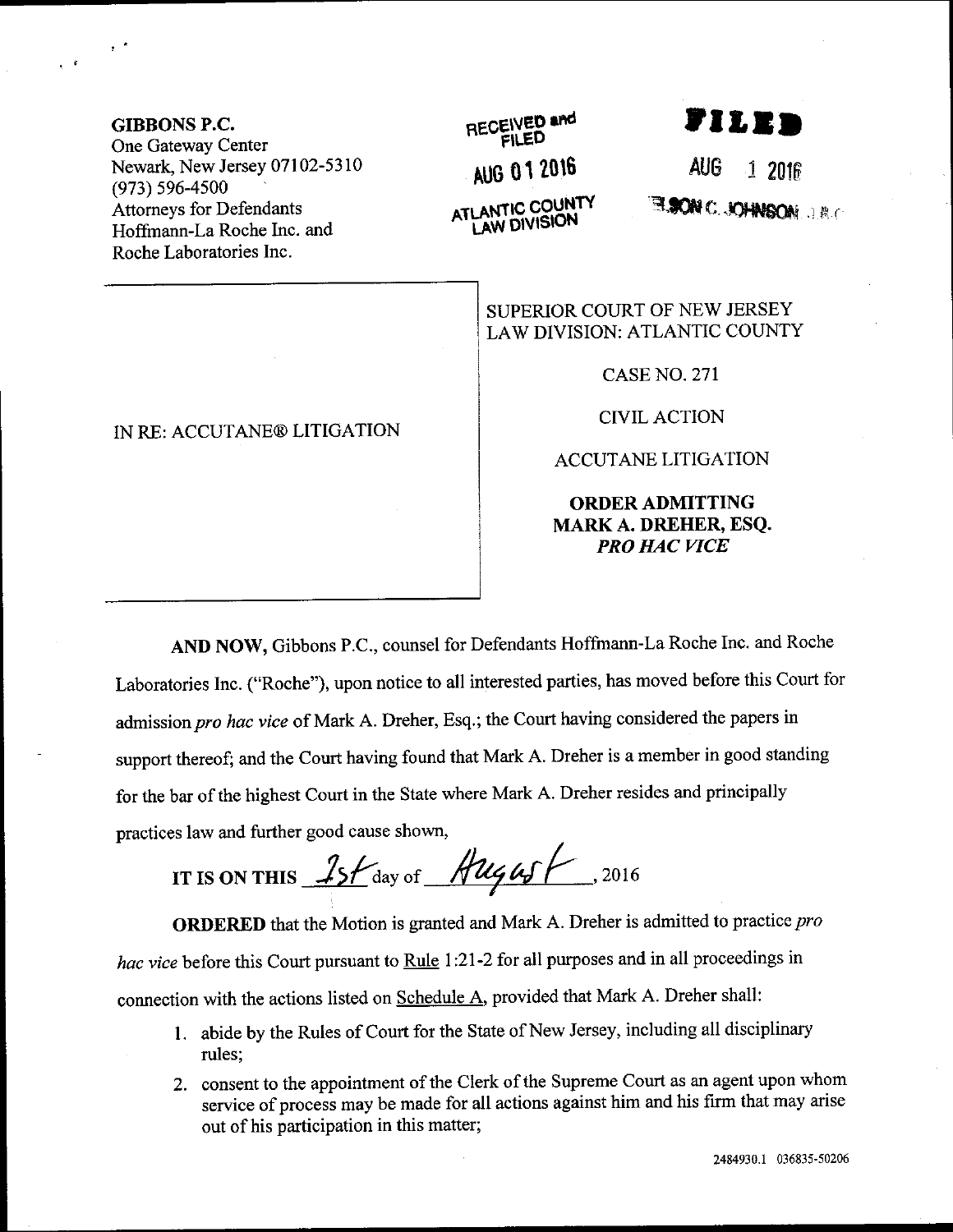GIBBONS P.C. One Gateway Center Newark, New Jersey 07102-5310 (973) s96-4s00 Attomeys for Defendants Hoffrnann-La Roche Inc. and Roche Laboratories Inc.

 $\chi^{(1)}$ 

 $e^{-\beta t}$ 

## IN RE: ACCUTANE@ LITIGATION

## RECEIVED and

AU0 01 2016

**ATLANTIC COUNTY**<br>LAW DIVISION

rilen

AUG 1 2016

**ELSON C. JOHNSON**, J.R.C

SUPERIOR COURT OF NEW JERSEY LAW DIVISION: ATLANTIC COUNTY

CASENO.271

CIVILACTION

ACCUTANE LITIGATION

ORDERADMITTING MARK A. DREHER, ESQ. PRO HAC VICE

AND NOW, Gibbons P.C., counsel for Defendants Hofftnann-La Roche Inc. and Roche Laboratories Inc. ("Roche"), upon notice to all interested parties, has moved before this Court for admission pro hac vice of Mark A. Dreher, Esq.; the Court having considered the papers in support thereof; and the Court having found that Mark A. Dreher is a member in good standing for the bar of the highest Court in the State where Mark A. Dreher resides and principally practices law and further good cause shown,

IT IS ON THIS  $15f$  day of  $\frac{\text{Aug}}{4}$ , 2016

**ORDERED** that the Motion is granted and Mark A. Dreher is admitted to practice pro hac vice before this Court pursuant to Rule 1:21-2 for all purposes and in all proceedings in connection with the actions listed on Schedule A, provided that Mark A. Dreher shall:

- 1. abide by the Rules of Court for the State of New Jersey, including all disciplinary rules;
- 2. consent to the appointment of the Clerk of the Supreme Court as an agent upon whom service of process may be made for all actions against him and his firm that may arise out of his participation in this matter;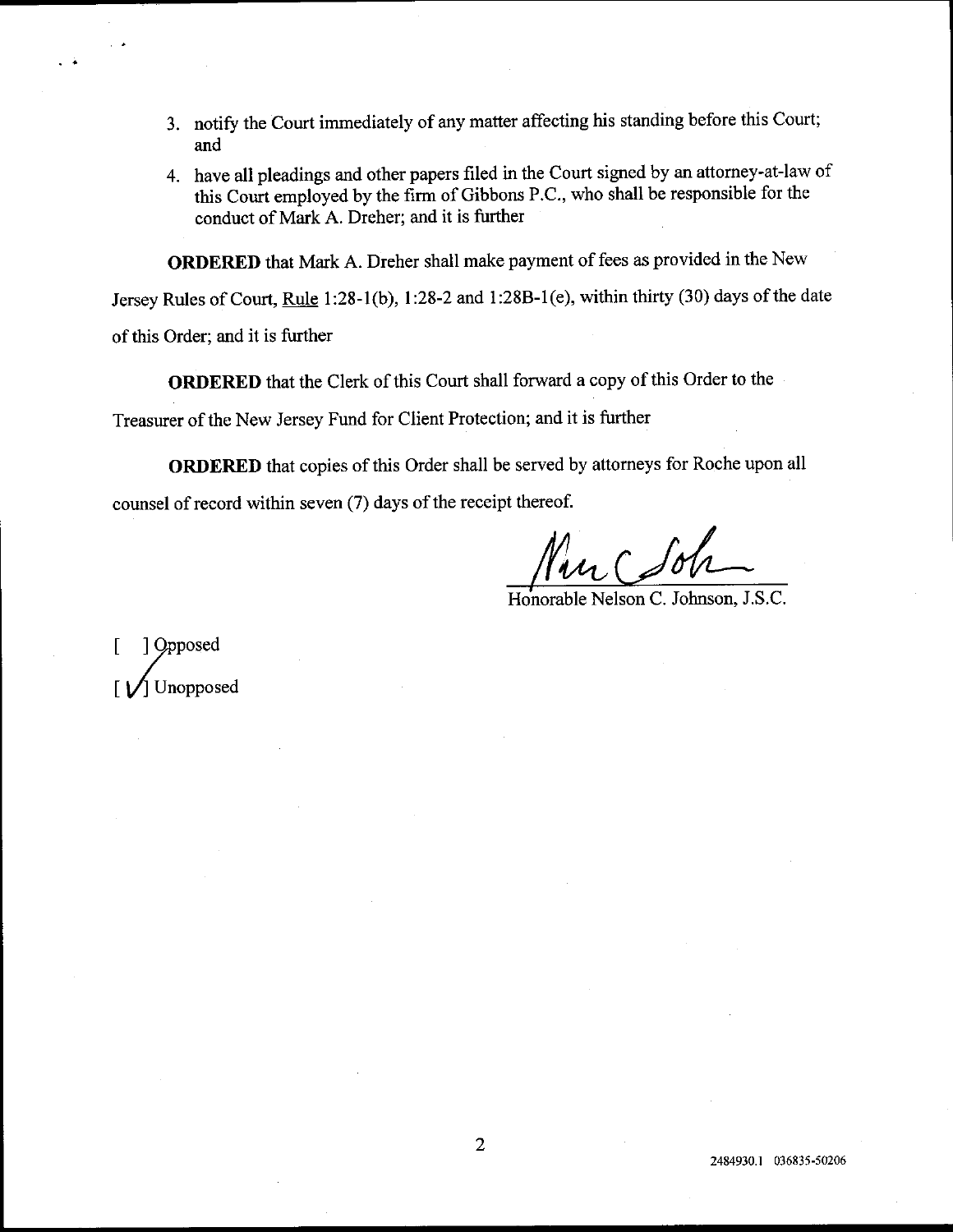- 3. notify the Court immediately of any matter affecting his standing before this Court; and
- 4. have all pleadings and other papers filed in the Court signed by an attomey-at-law of this Court employed by the firm of Gibbons P.C., who shall be responsible for the conduct of Mark A. Dreher; and it is further

ORDERED that Mark A. Dreher shall make payment of fees as provided in the New

Jersey Rules of Court, Rule 1:28-1(b), 1:28-2 and 1:28B-1(e), within thirty (30) days of the date

of this Order; and it is further

ORDERED that the Clerk of this Court shail forward a copy of this Order to the

Treasurer of the New Jersey Fund for Client Protection; and it is further

ORDERED that copies of this Order shall be served by attomeys for Roche upon all counsel of record within seven (7) days of the receipt thereof.

Honorable Nelson C. Johnson, J.S.C.

Dopposed Unopposed